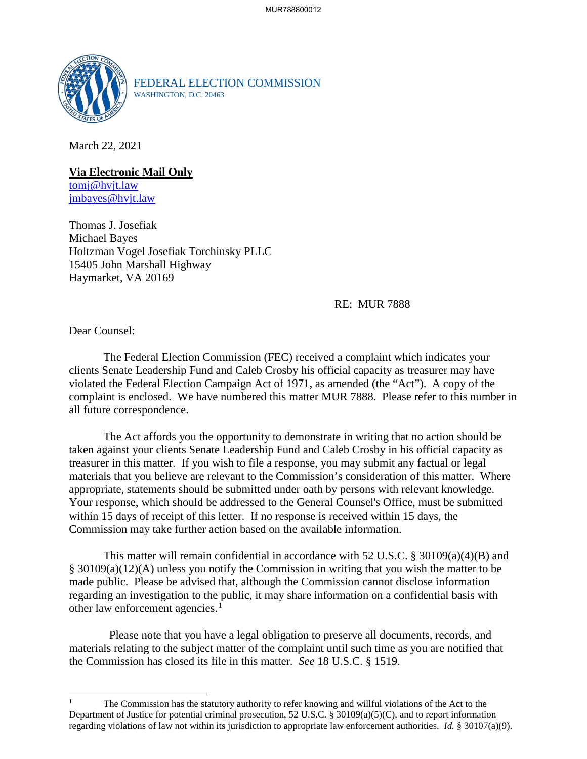

FEDERAL ELECTION COMMISSION WASHINGTON, D.C. 20463

March 22, 2021

**Via Electronic Mail Only** tomj@hvjt.law jmbayes@hvjt.law

Thomas J. Josefiak Michael Bayes Holtzman Vogel Josefiak Torchinsky PLLC 15405 John Marshall Highway Haymarket, VA 20169

## RE: MUR 7888

Dear Counsel:

 $\overline{a}$ 

The Federal Election Commission (FEC) received a complaint which indicates your clients Senate Leadership Fund and Caleb Crosby his official capacity as treasurer may have violated the Federal Election Campaign Act of 1971, as amended (the "Act"). A copy of the complaint is enclosed. We have numbered this matter MUR 7888. Please refer to this number in all future correspondence.

 The Act affords you the opportunity to demonstrate in writing that no action should be taken against your clients Senate Leadership Fund and Caleb Crosby in his official capacity as treasurer in this matter. If you wish to file a response, you may submit any factual or legal materials that you believe are relevant to the Commission's consideration of this matter. Where appropriate, statements should be submitted under oath by persons with relevant knowledge. Your response, which should be addressed to the General Counsel's Office, must be submitted within 15 days of receipt of this letter. If no response is received within 15 days, the Commission may take further action based on the available information.

This matter will remain confidential in accordance with 52 U.S.C. § 30109(a)(4)(B) and § 30109(a)(12)(A) unless you notify the Commission in writing that you wish the matter to be made public. Please be advised that, although the Commission cannot disclose information regarding an investigation to the public, it may share information on a confidential basis with other law enforcement agencies.<sup>1</sup>

 Please note that you have a legal obligation to preserve all documents, records, and materials relating to the subject matter of the complaint until such time as you are notified that the Commission has closed its file in this matter. *See* 18 U.S.C. § 1519.

<sup>1</sup> The Commission has the statutory authority to refer knowing and willful violations of the Act to the Department of Justice for potential criminal prosecution, 52 U.S.C. § 30109(a)(5)(C), and to report information regarding violations of law not within its jurisdiction to appropriate law enforcement authorities. *Id.* § 30107(a)(9).